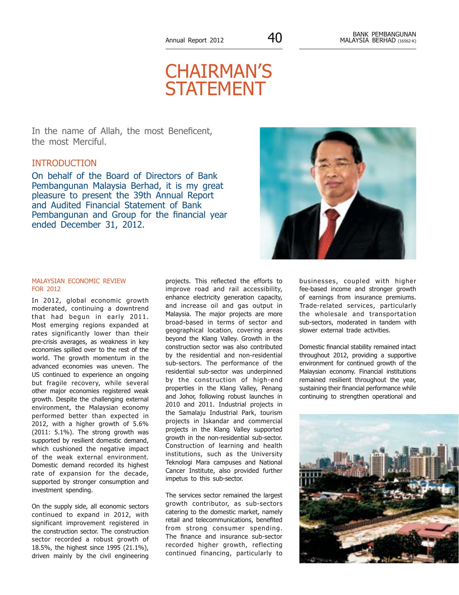# CHAIRMAN'S **STATEMENT**

In the name of Allah, the most Beneficent, the most Merciful.

# INTRODUCTION

On behalf of the Board of Directors of Bank Pembangunan Malaysia Berhad, it is my great pleasure to present the 39th Annual Report and Audited Financial Statement of Bank Pembangunan and Group for the financial year ended December 31, 2012.



### MALAYSIAN ECONOMIC REVIEW FOR 2012

In 2012, global economic growth moderated, continuing a downtrend that had begun in early 2011. Most emerging regions expanded at rates significantly lower than their pre-crisis averages, as weakness in key economies spilled over to the rest of the world. The growth momentum in the advanced economies was uneven. The US continued to experience an ongoing but fragile recovery, while several other major economies registered weak growth. Despite the challenging external environment, the Malaysian economy performed better than expected in 2012, with a higher growth of 5.6% (2011: 5.1%). The strong growth was supported by resilient domestic demand, which cushioned the negative impact of the weak external environment. Domestic demand recorded its highest rate of expansion for the decade, supported by stronger consumption and investment spending.

On the supply side, all economic sectors continued to expand in 2012, with significant improvement registered in the construction sector. The construction sector recorded a robust growth of 18.5%, the highest since 1995 (21.1%), driven mainly by the civil engineering

projects. This reflected the efforts to improve road and rail accessibility, enhance electricity generation capacity, and increase oil and gas output in Malaysia. The major projects are more broad-based in terms of sector and geographical location, covering areas beyond the Klang Valley. Growth in the construction sector was also contributed by the residential and non-residential sub-sectors. The performance of the residential sub-sector was underpinned by the construction of high-end properties in the Klang Valley, Penang and Johor, following robust launches in 2010 and 2011. Industrial projects in the Samalaju Industrial Park, tourism projects in Iskandar and commercial projects in the Klang Valley supported growth in the non-residential sub-sector. Construction of learning and health institutions, such as the University Teknologi Mara campuses and National Cancer Institute, also provided further impetus to this sub-sector.

The services sector remained the largest growth contributor, as sub-sectors catering to the domestic market, namely retail and telecommunications, benefited from strong consumer spending. The finance and insurance sub-sector recorded higher growth, reflecting continued financing, particularly to

businesses, coupled with higher fee-based income and stronger growth of earnings from insurance premiums. Trade-related services, particularly the wholesale and transportation sub-sectors, moderated in tandem with slower external trade activities.

Domestic financial stability remained intact throughout 2012, providing a supportive environment for continued growth of the Malaysian economy. Financial institutions remained resilient throughout the year, sustaining their financial performance while continuing to strengthen operational and

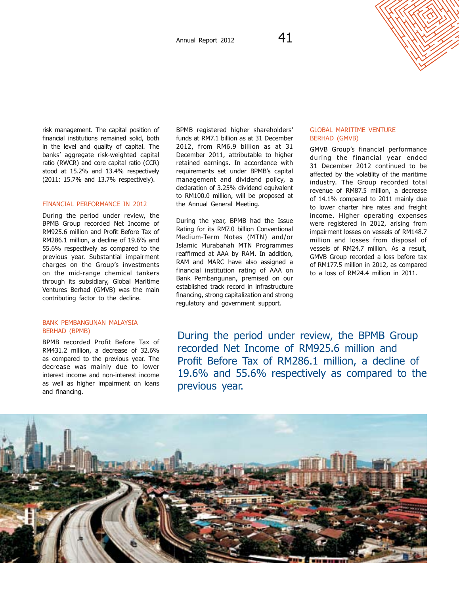

risk management. The capital position of financial institutions remained solid, both in the level and quality of capital. The banks' aggregate risk-weighted capital ratio (RWCR) and core capital ratio (CCR) stood at 15.2% and 13.4% respectively (2011: 15.7% and 13.7% respectively).

#### FINANCIAL PERFORMANCE IN 2012

During the period under review, the BPMB Group recorded Net Income of RM925.6 million and Profit Before Tax of RM286.1 million, a decline of 19.6% and 55.6% respectively as compared to the previous year. Substantial impairment charges on the Group's investments on the mid-range chemical tankers through its subsidiary, Global Maritime Ventures Berhad (GMVB) was the main contributing factor to the decline.

#### Bank Pembangunan Malaysia Berhad (BPMB)

BPMB recorded Profit Before Tax of RM431.2 million, a decrease of 32.6% as compared to the previous year. The decrease was mainly due to lower interest income and non-interest income as well as higher impairment on loans and financing.

BPMB registered higher shareholders' funds at RM7.1 billion as at 31 December 2012, from RM6.9 billion as at 31 December 2011, attributable to higher retained earnings. In accordance with requirements set under BPMB's capital management and dividend policy, a declaration of 3.25% dividend equivalent to RM100.0 million, will be proposed at the Annual General Meeting.

During the year, BPMB had the Issue Rating for its RM7.0 billion Conventional Medium-Term Notes (MTN) and/or Islamic Murabahah MTN Programmes reaffirmed at AAA by RAM. In addition, RAM and MARC have also assigned a financial institution rating of AAA on Bank Pembangunan, premised on our established track record in infrastructure financing, strong capitalization and strong regulatory and government support.

#### Global Maritime Venture Berhad (GMVB)

GMVB Group's financial performance during the financial year ended 31 December 2012 continued to be affected by the volatility of the maritime industry. The Group recorded total revenue of RM87.5 million, a decrease of 14.1% compared to 2011 mainly due to lower charter hire rates and freight income. Higher operating expenses were registered in 2012, arising from impairment losses on vessels of RM148.7 million and losses from disposal of vessels of RM24.7 million. As a result, GMVB Group recorded a loss before tax of RM177.5 million in 2012, as compared to a loss of RM24.4 million in 2011.

During the period under review, the BPMB Group recorded Net Income of RM925.6 million and Profit Before Tax of RM286.1 million, a decline of 19.6% and 55.6% respectively as compared to the previous year.

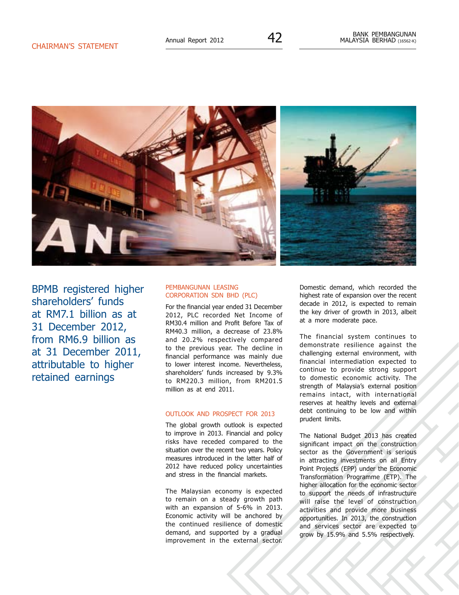

BPMB registered higher shareholders' funds at RM7.1 billion as at 31 December 2012, from RM6.9 billion as at 31 December 2011, attributable to higher retained earnings

#### Pembangunan Leasing Corporation Sdn Bhd (PLC)

For the financial year ended 31 December 2012, PLC recorded Net Income of RM30.4 million and Profit Before Tax of RM40.3 million, a decrease of 23.8% and 20.2% respectively compared to the previous year. The decline in financial performance was mainly due to lower interest income. Nevertheless, shareholders' funds increased by 9.3% to RM220.3 million, from RM201.5 million as at end 2011.

#### OUTLOOK AND PROSPECT FOR 2013

The global growth outlook is expected to improve in 2013. Financial and policy risks have receded compared to the situation over the recent two years. Policy measures introduced in the latter half of 2012 have reduced policy uncertainties and stress in the financial markets.

The Malaysian economy is expected to remain on a steady growth path with an expansion of 5-6% in 2013. Economic activity will be anchored by the continued resilience of domestic demand, and supported by a gradual improvement in the external sector.

Domestic demand, which recorded the highest rate of expansion over the recent decade in 2012, is expected to remain the key driver of growth in 2013, albeit at a more moderate pace.

The financial system continues to demonstrate resilience against the challenging external environment, with financial intermediation expected to continue to provide strong support to domestic economic activity. The strength of Malaysia's external position remains intact, with international reserves at healthy levels and external debt continuing to be low and within prudent limits.

The National Budget 2013 has created significant impact on the construction sector as the Government is serious in attracting investments on all Entry Point Projects (EPP) under the Economic Transformation Programme (ETP). The higher allocation for the economic sector to support the needs of infrastructure will raise the level of construction activities and provide more business opportunities. In 2013, the construction and services sector are expected to grow by 15.9% and 5.5% respectively.